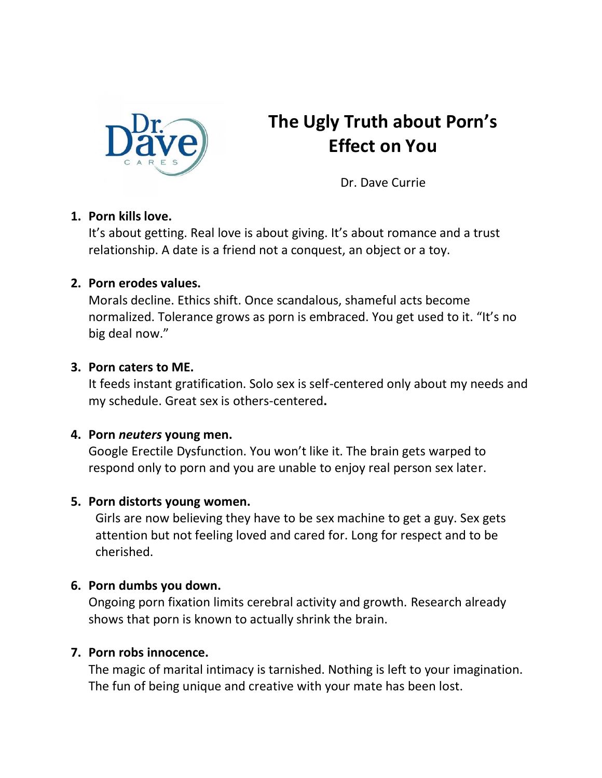

# **The Ugly Truth about Porn's Effect on You**

Dr. Dave Currie

### **1. Porn kills love.**

It's about getting. Real love is about giving. It's about romance and a trust relationship. A date is a friend not a conquest, an object or a toy.

#### **2. Porn erodes values.**

Morals decline. Ethics shift. Once scandalous, shameful acts become normalized. Tolerance grows as porn is embraced. You get used to it. "It's no big deal now."

#### **3. Porn caters to ME.**

It feeds instant gratification. Solo sex is self-centered only about my needs and my schedule. Great sex is others-centered**.**

### **4. Porn** *neuters* **young men.**

Google Erectile Dysfunction. You won't like it. The brain gets warped to respond only to porn and you are unable to enjoy real person sex later.

#### **5. Porn distorts young women.**

Girls are now believing they have to be sex machine to get a guy. Sex gets attention but not feeling loved and cared for. Long for respect and to be cherished.

### **6. Porn dumbs you down.**

Ongoing porn fixation limits cerebral activity and growth. Research already shows that porn is known to actually shrink the brain.

### **7. Porn robs innocence.**

The magic of marital intimacy is tarnished. Nothing is left to your imagination. The fun of being unique and creative with your mate has been lost.